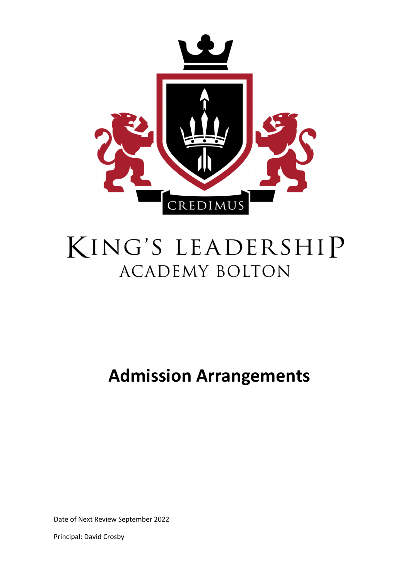

# KING'S LEADERSHIP **ACADEMY BOLTON**

**Admission Arrangements**

Date of Next Review September 2022

Principal: David Crosby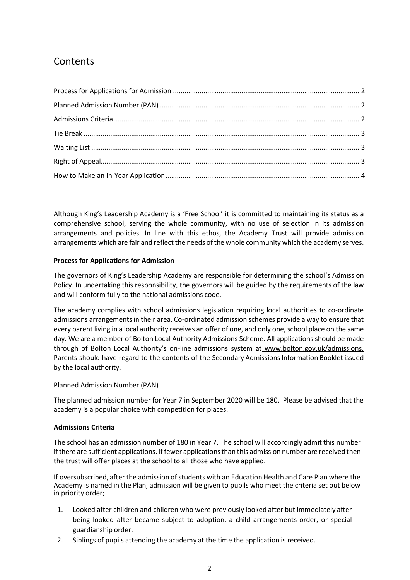## **Contents**

Although King's Leadership Academy is a 'Free School' it is committed to maintaining its status as a comprehensive school, serving the whole community, with no use of selection in its admission arrangements and policies. In line with this ethos, the Academy Trust will provide admission arrangements which are fair and reflect the needs of the whole community which the academy serves.

#### **Process for Applications for Admission**

The governors of King's Leadership Academy are responsible for determining the school's Admission Policy. In undertaking this responsibility, the governors will be guided by the requirements of the law and will conform fully to the national admissions code.

The academy complies with school admissions legislation requiring local authorities to co-ordinate admissions arrangements in their area. Co-ordinated admission schemes provide a way to ensure that every parent living in a local authority receives an offer of one, and only one, school place on the same day. We are a member of Bolton Local Authority Admissions Scheme. All applications should be made through of Bolton Local Authority's on-line admissions system at www.bolton.gov.uk/admissions. Parents should have regard to the contents of the Secondary Admissions Information Booklet issued by the local authority.

#### Planned Admission Number (PAN)

The planned admission number for Year 7 in September 2020 will be 180. Please be advised that the academy is a popular choice with competition for places.

#### **Admissions Criteria**

The school has an admission number of 180 in Year 7. The school will accordingly admit this number if there are sufficient applications. If fewer applications than this admission number are received then the trust will offer places at the school to all those who have applied.

If oversubscribed, after the admission of students with an Education Health and Care Plan where the Academy is named in the Plan, admission will be given to pupils who meet the criteria set out below in priority order;

- 1. Looked after children and children who were previously looked after but immediately after being looked after became subject to adoption, a child arrangements order, or special guardianship order.
- 2. Siblings of pupils attending the academy at the time the application is received.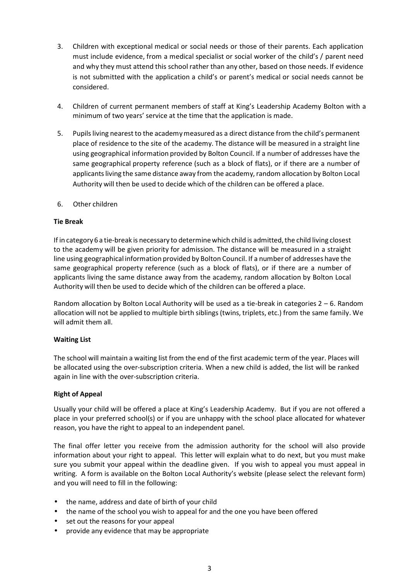- 3. Children with exceptional medical or social needs or those of their parents. Each application must include evidence, from a medical specialist or social worker of the child's / parent need and why they must attend this school rather than any other, based on those needs. If evidence is not submitted with the application a child's or parent's medical or social needs cannot be considered.
- 4. Children of current permanent members of staff at King's Leadership Academy Bolton with a minimum of two years' service at the time that the application is made.
- 5. Pupils living nearest to the academy measured as a direct distance from the child's permanent place of residence to the site of the academy. The distance will be measured in a straight line using geographical information provided by Bolton Council. If a number of addresses have the same geographical property reference (such as a block of flats), or if there are a number of applicants living the same distance away from the academy, random allocation by Bolton Local Authority will then be used to decide which of the children can be offered a place.
- 6. Other children

#### **Tie Break**

If in category 6 a tie-break is necessary to determine which child is admitted, the child living closest to the academy will be given priority for admission. The distance will be measured in a straight line using geographical information provided by Bolton Council. If a number of addresses have the same geographical property reference (such as a block of flats), or if there are a number of applicants living the same distance away from the academy, random allocation by Bolton Local Authority will then be used to decide which of the children can be offered a place.

Random allocation by Bolton Local Authority will be used as a tie-break in categories 2 – 6. Random allocation will not be applied to multiple birth siblings (twins, triplets, etc.) from the same family. We will admit them all.

#### **Waiting List**

The school will maintain a waiting list from the end of the first academic term of the year. Places will be allocated using the over-subscription criteria. When a new child is added, the list will be ranked again in line with the over-subscription criteria.

#### **Right of Appeal**

Usually your child will be offered a place at King's Leadership Academy. But if you are not offered a place in your preferred school(s) or if you are unhappy with the school place allocated for whatever reason, you have the right to appeal to an independent panel.

The final offer letter you receive from the admission authority for the school will also provide information about your right to appeal. This letter will explain what to do next, but you must make sure you submit your appeal within the deadline given. If you wish to appeal you must appeal in writing. A form is available on the Bolton Local Authority's website (please select the relevant form) and you will need to fill in the following:

- the name, address and date of birth of your child
- the name of the school you wish to appeal for and the one you have been offered
- set out the reasons for your appeal
- provide any evidence that may be appropriate